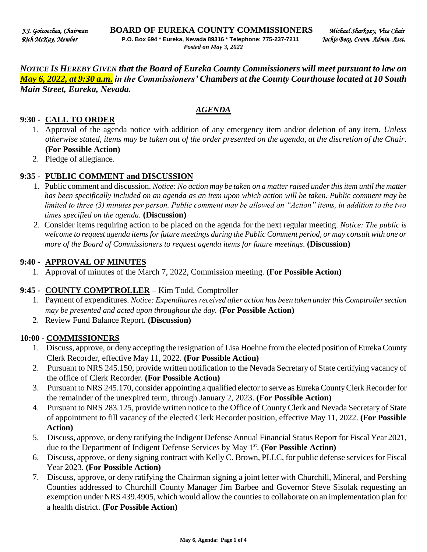*NOTICE IS HEREBY GIVEN that the Board of Eureka County Commissioners will meet pursuant to law on May 6, 2022, at 9:30 a.m. in the Commissioners' Chambers at the County Courthouse located at 10 South Main Street, Eureka, Nevada.* 

#### *AGENDA*

#### **9:30 - CALL TO ORDER**

- 1. Approval of the agenda notice with addition of any emergency item and/or deletion of any item. *Unless otherwise stated, items may be taken out of the order presented on the agenda, at the discretion of the Chair.* **(For Possible Action)**
- 2. Pledge of allegiance.

#### **9:35 - PUBLIC COMMENT and DISCUSSION**

- 1. Public comment and discussion. *Notice: No action may be taken on a matter raised under this item until the matter has been specifically included on an agenda as an item upon which action will be taken. Public comment may be limited to three (3) minutes per person. Public comment may be allowed on "Action" items, in addition to the two times specified on the agenda.* **(Discussion)**
- 2. Consider items requiring action to be placed on the agenda for the next regular meeting. *Notice: The public is welcome to request agenda items for future meetings during the Public Comment period, or may consult with one or more of the Board of Commissioners to request agenda items for future meetings*. **(Discussion)**

#### **9:40 - APPROVAL OF MINUTES**

1. Approval of minutes of the March 7, 2022, Commission meeting. **(For Possible Action)** 

#### **9:45 - COUNTY COMPTROLLER –** Kim Todd, Comptroller

- 1. Payment of expenditures. *Notice: Expenditures received after action has been taken under this Comptroller section may be presented and acted upon throughout the day.* **(For Possible Action)**
- 2. Review Fund Balance Report. **(Discussion)**

#### **10:00 - COMMISSIONERS**

- 1. Discuss, approve, or deny accepting the resignation of Lisa Hoehne from the elected position of Eureka County Clerk Recorder, effective May 11, 2022. **(For Possible Action)**
- 2. Pursuant to NRS 245.150, provide written notification to the Nevada Secretary of State certifying vacancy of the office of Clerk Recorder. **(For Possible Action)**
- 3. Pursuant to NRS 245.170, consider appointing a qualified elector to serve as Eureka County Clerk Recorder for the remainder of the unexpired term, through January 2, 2023. **(For Possible Action)**
- 4. Pursuant to NRS 283.125, provide written notice to the Office of County Clerk and Nevada Secretary of State of appointment to fill vacancy of the elected Clerk Recorder position, effective May 11, 2022. **(For Possible Action)**
- 5. Discuss, approve, or deny ratifying the Indigent Defense Annual Financial Status Report for Fiscal Year 2021, due to the Department of Indigent Defense Services by May 1st . **(For Possible Action)**
- 6. Discuss, approve, or deny signing contract with Kelly C. Brown, PLLC, for public defense services for Fiscal Year 2023. **(For Possible Action)**
- 7. Discuss, approve, or deny ratifying the Chairman signing a joint letter with Churchill, Mineral, and Pershing Counties addressed to Churchill County Manager Jim Barbee and Governor Steve Sisolak requesting an exemption under NRS 439.4905, which would allow the counties to collaborate on an implementation plan for a health district. **(For Possible Action)**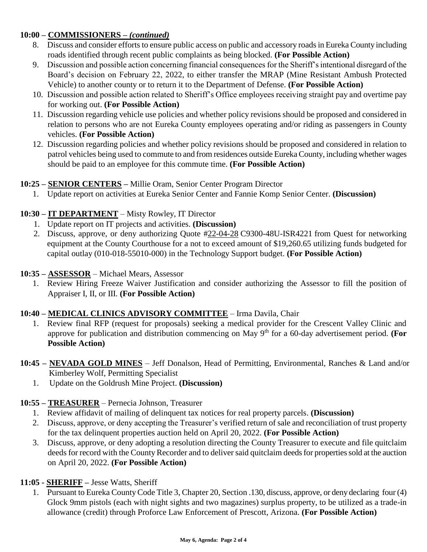## **10:00 – COMMISSIONERS** *– (continued)*

- 8. Discuss and consider efforts to ensure public access on public and accessory roads in Eureka County including roads identified through recent public complaints as being blocked. **(For Possible Action)**
- 9. Discussion and possible action concerning financial consequences for the Sheriff's intentional disregard of the Board's decision on February 22, 2022, to either transfer the MRAP (Mine Resistant Ambush Protected Vehicle) to another county or to return it to the Department of Defense. **(For Possible Action)**
- 10. Discussion and possible action related to Sheriff's Office employees receiving straight pay and overtime pay for working out. **(For Possible Action)**
- 11. Discussion regarding vehicle use policies and whether policy revisions should be proposed and considered in relation to persons who are not Eureka County employees operating and/or riding as passengers in County vehicles. **(For Possible Action)**
- 12. Discussion regarding policies and whether policy revisions should be proposed and considered in relation to patrol vehicles being used to commute to and from residences outside Eureka County, including whether wages should be paid to an employee for this commute time. **(For Possible Action)**

# **10:25 – SENIOR CENTERS –** Millie Oram, Senior Center Program Director

1. Update report on activities at Eureka Senior Center and Fannie Komp Senior Center. **(Discussion)**

# **10:30 – IT DEPARTMENT** – Misty Rowley, IT Director

- 1. Update report on IT projects and activities. **(Discussion)**
- 2. Discuss, approve, or deny authorizing Quote #22-04-28 C9300-48U-ISR4221 from Quest for networking equipment at the County Courthouse for a not to exceed amount of \$19,260.65 utilizing funds budgeted for capital outlay (010-018-55010-000) in the Technology Support budget. **(For Possible Action)**

### **10:35 – ASSESSOR** – Michael Mears, Assessor

1. Review Hiring Freeze Waiver Justification and consider authorizing the Assessor to fill the position of Appraiser I, II, or III. **(For Possible Action)** 

## **10:40 – MEDICAL CLINICS ADVISORY COMMITTEE** – Irma Davila, Chair

- 1. Review final RFP (request for proposals) seeking a medical provider for the Crescent Valley Clinic and approve for publication and distribution commencing on May 9<sup>th</sup> for a 60-day advertisement period. **(For Possible Action)**
- **10:45 – NEVADA GOLD MINES** Jeff Donalson, Head of Permitting, Environmental, Ranches & Land and/or Kimberley Wolf, Permitting Specialist
	- 1. Update on the Goldrush Mine Project. **(Discussion)**

## **10:55 – TREASURER** – Pernecia Johnson, Treasurer

- 1. Review affidavit of mailing of delinquent tax notices for real property parcels. **(Discussion)**
- 2. Discuss, approve, or deny accepting the Treasurer's verified return of sale and reconciliation of trust property for the tax delinquent properties auction held on April 20, 2022. **(For Possible Action)**
- 3. Discuss, approve, or deny adopting a resolution directing the County Treasurer to execute and file quitclaim deeds for record with the County Recorder and to deliver said quitclaim deeds for properties sold at the auction on April 20, 2022. **(For Possible Action)**

## **11:05 - SHERIFF –** Jesse Watts, Sheriff

1. Pursuant to Eureka County Code Title 3, Chapter 20, Section .130, discuss, approve, or deny declaring four (4) Glock 9mm pistols (each with night sights and two magazines) surplus property, to be utilized as a trade-in allowance (credit) through Proforce Law Enforcement of Prescott, Arizona. **(For Possible Action)**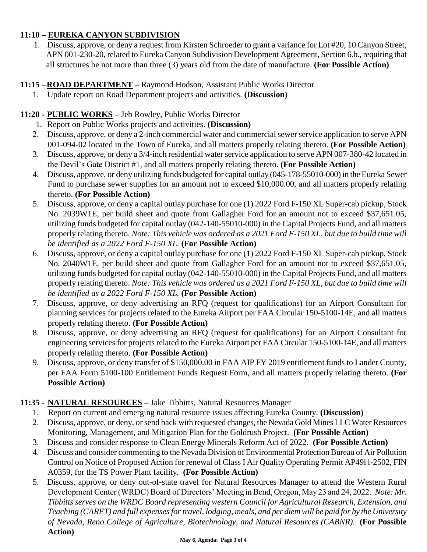# **11:10 – EUREKA CANYON SUBDIVISION**

1. Discuss, approve, or deny a request from Kirsten Schroeder to grant a variance for Lot #20, 10 Canyon Street, APN 001-230-20, related to Eureka Canyon Subdivision Development Agreement, Section 6.b., requiring that all structures be not more than three (3) years old from the date of manufacture. **(For Possible Action)** 

## **11:15 –ROAD DEPARTMENT –** Raymond Hodson, Assistant Public Works Director

1. Update report on Road Department projects and activities. **(Discussion)** 

# **11:20 - PUBLIC WORKS –** Jeb Rowley, Public Works Director

- 1. Report on Public Works projects and activities. **(Discussion)**
- 2. Discuss, approve, or deny a 2-inch commercial water and commercial sewer service application to serve APN 001-094-02 located in the Town of Eureka, and all matters properly relating thereto. **(For Possible Action)**
- 3. Discuss, approve, or deny a 3/4-inch residential water service application to serve APN 007-380-42 located in the Devil's Gate District #1, and all matters properly relating thereto. **(For Possible Action)**
- 4. Discuss, approve, or deny utilizing funds budgeted for capital outlay (045-178-55010-000) in the Eureka Sewer Fund to purchase sewer supplies for an amount not to exceed \$10,000.00, and all matters properly relating thereto. **(For Possible Action)**
- 5. Discuss, approve, or deny a capital outlay purchase for one (1) 2022 Ford F-150 XL Super-cab pickup, Stock No. 2039W1E, per build sheet and quote from Gallagher Ford for an amount not to exceed \$37,651.05, utilizing funds budgeted for capital outlay (042-140-55010-000) in the Capital Projects Fund, and all matters properly relating thereto. *Note: This vehicle was ordered as a 2021 Ford F-150 XL, but due to build time will be identified as a 2022 Ford F-150 XL.* **(For Possible Action)**
- 6. Discuss, approve, or deny a capital outlay purchase for one (1) 2022 Ford F-150 XL Super-cab pickup, Stock No. 2040W1E, per build sheet and quote from Gallagher Ford for an amount not to exceed \$37,651.05, utilizing funds budgeted for capital outlay (042-140-55010-000) in the Capital Projects Fund, and all matters properly relating thereto. *Note: This vehicle was ordered as a 2021 Ford F-150 XL, but due to build time will be identified as a 2022 Ford F-150 XL.* **(For Possible Action)**
- 7. Discuss, approve, or deny advertising an RFQ (request for qualifications) for an Airport Consultant for planning services for projects related to the Eureka Airport per FAA Circular 150-5100-14E, and all matters properly relating thereto. **(For Possible Action)**
- 8. Discuss, approve, or deny advertising an RFQ (request for qualifications) for an Airport Consultant for engineering services for projects related to the Eureka Airport per FAA Circular 150-5100-14E, and all matters properly relating thereto. **(For Possible Action)**
- 9. Discuss, approve, or deny transfer of \$150,000.00 in FAA AIP FY 2019 entitlement funds to Lander County, per FAA Form 5100-100 Entitlement Funds Request Form, and all matters properly relating thereto. **(For Possible Action)**

## **11:35 - NATURAL RESOURCES –** Jake Tibbitts, Natural Resources Manager

- 1. Report on current and emerging natural resource issues affecting Eureka County. **(Discussion)**
- 2. Discuss, approve, or deny, or send back with requested changes, the Nevada Gold Mines LLC Water Resources Monitoring, Management, and Mitigation Plan for the Goldrush Project. **(For Possible Action)**
- 3. Discuss and consider response to Clean Energy Minerals Reform Act of 2022. **(For Possible Action)**
- 4. Discuss and consider commenting to the Nevada Division of Environmental Protection Bureau of Air Pollution Control on Notice of Proposed Action for renewal of Class I Air Quality Operating Permit AP49l l-2502, FIN A0359, for the TS Power Plant facility. **(For Possible Action)**
- 5. Discuss, approve, or deny out-of-state travel for Natural Resources Manager to attend the Western Rural Development Center (WRDC) Board of Directors' Meeting in Bend, Oregon, May 23 and 24, 2022. *Note: Mr. Tibbitts serves on the WRDC Board representing western Council for Agricultural Research, Extension, and Teaching (CARET) and full expenses for travel, lodging, meals, and per diem will be paid for by the University of Nevada, Reno College of Agriculture, Biotechnology, and Natural Resources (CABNR).* **(For Possible Action)**